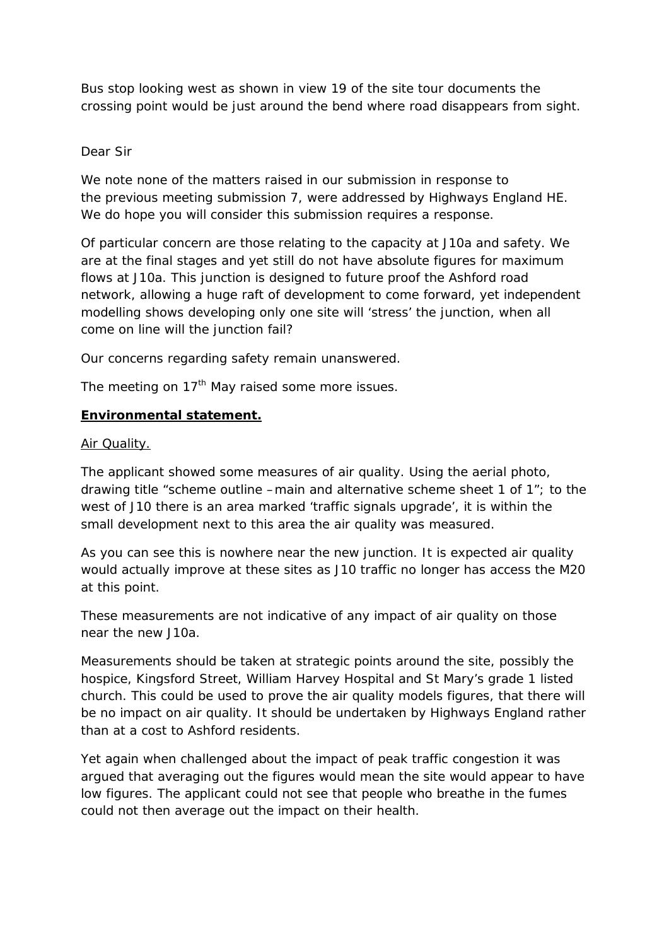Bus stop looking west as shown in view 19 of the site tour documents the crossing point would be just around the bend where road disappears from sight.

## Dear Sir

We note none of the matters raised in our submission in response to the previous meeting submission 7, were addressed by Highways England HE. We do hope you will consider this submission requires a response.

Of particular concern are those relating to the capacity at J10a and safety. We are at the final stages and yet still do not have absolute figures for maximum flows at J10a. This junction is designed to future proof the Ashford road network, allowing a huge raft of development to come forward, yet independent modelling shows developing only one site will 'stress' the junction, when all come on line will the junction fail?

Our concerns regarding safety remain unanswered.

The meeting on  $17<sup>th</sup>$  May raised some more issues.

#### **Environmental statement.**

#### Air Quality.

The applicant showed some measures of air quality. Using the aerial photo, drawing title "scheme outline –main and alternative scheme sheet 1 of 1"; to the west of J10 there is an area marked 'traffic signals upgrade', it is within the small development next to this area the air quality was measured.

As you can see this is nowhere near the new junction. It is expected air quality would actually improve at these sites as J10 traffic no longer has access the M20 at this point.

These measurements are not indicative of any impact of air quality on those near the new J10a.

Measurements should be taken at strategic points around the site, possibly the hospice, Kingsford Street, William Harvey Hospital and St Mary's grade 1 listed church. This could be used to prove the air quality models figures, that there will be no impact on air quality. It should be undertaken by Highways England rather than at a cost to Ashford residents.

Yet again when challenged about the impact of peak traffic congestion it was argued that averaging out the figures would mean the site would appear to have low figures. The applicant could not see that people who breathe in the fumes could not then average out the impact on their health.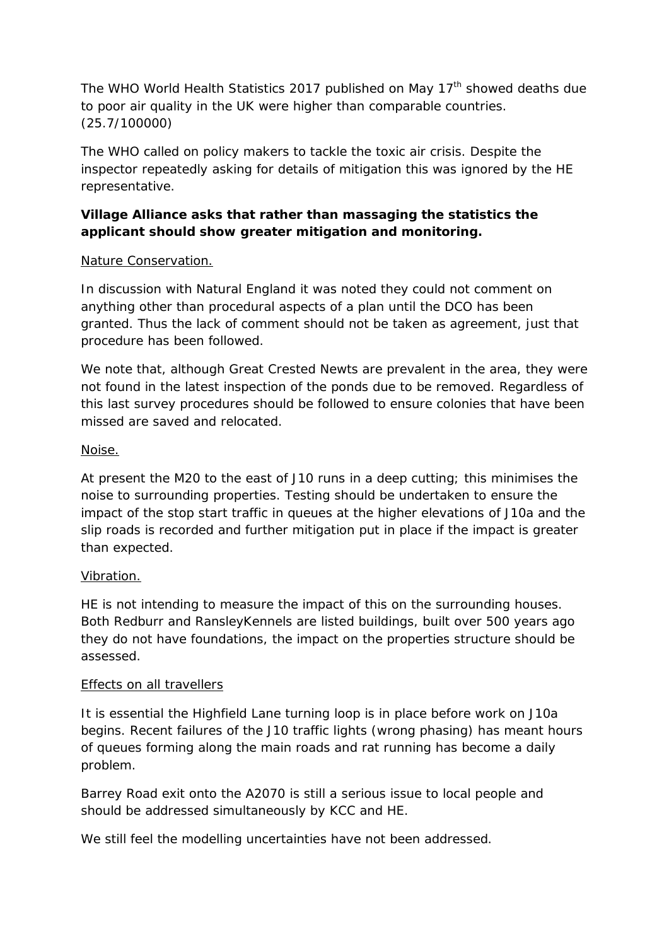The WHO World Health Statistics 2017 published on May 17<sup>th</sup> showed deaths due to poor air quality in the UK were higher than comparable countries. (25.7/100000)

The WHO called on policy makers to tackle the toxic air crisis. Despite the inspector repeatedly asking for details of mitigation this was ignored by the HE representative.

# **Village Alliance asks that rather than massaging the statistics the applicant should show greater mitigation and monitoring.**

# Nature Conservation.

In discussion with Natural England it was noted they could not comment on anything other than procedural aspects of a plan until the DCO has been granted. Thus the lack of comment should not be taken as agreement, just that procedure has been followed.

We note that, although Great Crested Newts are prevalent in the area, they were not found in the latest inspection of the ponds due to be removed. Regardless of this last survey procedures should be followed to ensure colonies that have been missed are saved and relocated.

## Noise.

At present the M20 to the east of J10 runs in a deep cutting; this minimises the noise to surrounding properties. Testing should be undertaken to ensure the impact of the stop start traffic in queues at the higher elevations of J10a and the slip roads is recorded and further mitigation put in place if the impact is greater than expected.

# Vibration.

HE is not intending to measure the impact of this on the surrounding houses. Both Redburr and RansleyKennels are listed buildings, built over 500 years ago they do not have foundations, the impact on the properties structure should be assessed.

## Effects on all travellers

It is essential the Highfield Lane turning loop is in place before work on J10a begins. Recent failures of the J10 traffic lights (wrong phasing) has meant hours of queues forming along the main roads and rat running has become a daily problem.

Barrey Road exit onto the A2070 is still a serious issue to local people and should be addressed simultaneously by KCC and HE.

We still feel the modelling uncertainties have not been addressed.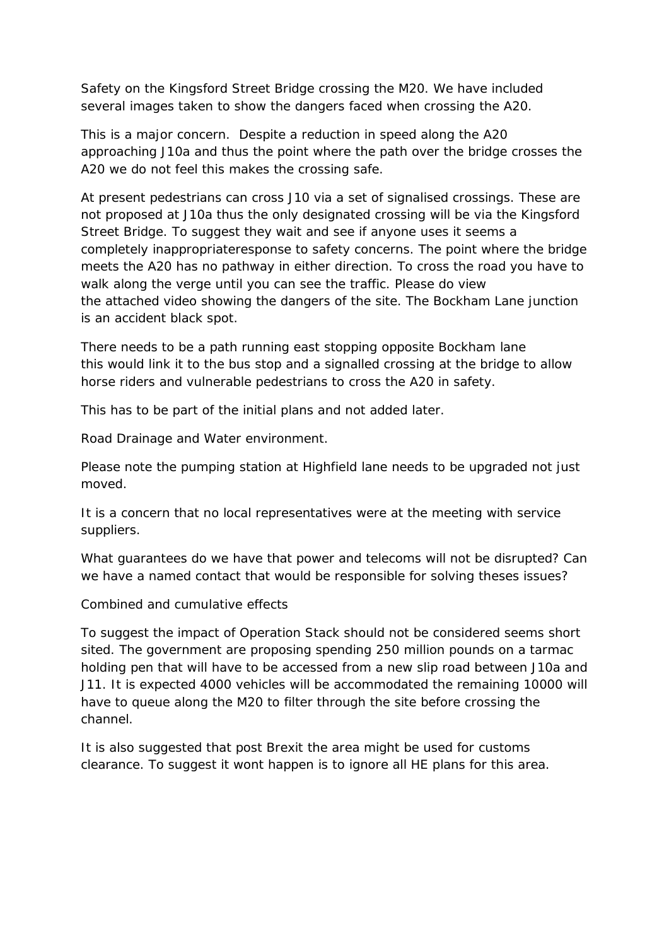Safety on the Kingsford Street Bridge crossing the M20. We have included several images taken to show the dangers faced when crossing the A20.

This is a major concern. Despite a reduction in speed along the A20 approaching J10a and thus the point where the path over the bridge crosses the A20 we do not feel this makes the crossing safe.

At present pedestrians can cross J10 via a set of signalised crossings. These are not proposed at J10a thus the only designated crossing will be via the Kingsford Street Bridge. To suggest they wait and see if anyone uses it seems a completely inappropriateresponse to safety concerns. The point where the bridge meets the A20 has no pathway in either direction. To cross the road you have to walk along the verge until you can see the traffic. Please do view the attached video showing the dangers of the site. The Bockham Lane junction is an accident black spot.

There needs to be a path running east stopping opposite Bockham lane this would link it to the bus stop and a signalled crossing at the bridge to allow horse riders and vulnerable pedestrians to cross the A20 in safety.

This has to be part of the initial plans and not added later.

Road Drainage and Water environment.

Please note the pumping station at Highfield lane needs to be upgraded not just moved.

It is a concern that no local representatives were at the meeting with service suppliers.

What guarantees do we have that power and telecoms will not be disrupted? Can we have a named contact that would be responsible for solving theses issues?

Combined and cumulative effects

To suggest the impact of Operation Stack should not be considered seems short sited. The government are proposing spending 250 million pounds on a tarmac holding pen that will have to be accessed from a new slip road between J10a and J11. It is expected 4000 vehicles will be accommodated the remaining 10000 will have to queue along the M20 to filter through the site before crossing the channel.

It is also suggested that post Brexit the area might be used for customs clearance. To suggest it wont happen is to ignore all HE plans for this area.